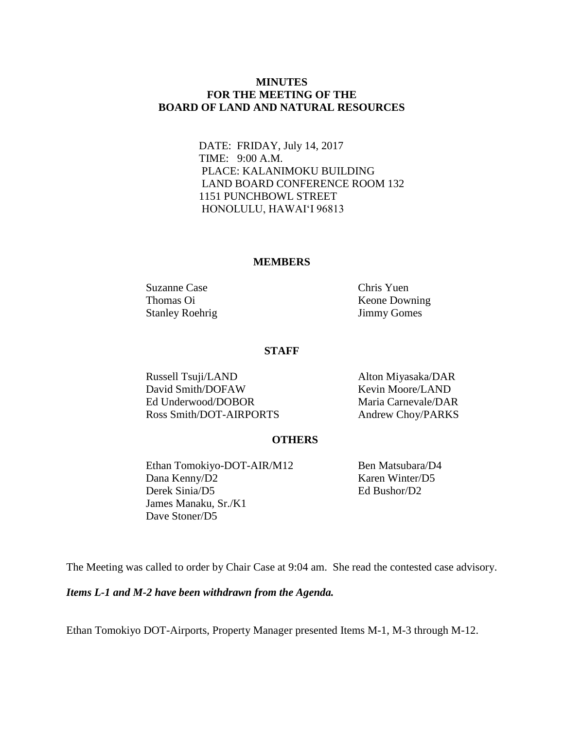## **MINUTES FOR THE MEETING OF THE BOARD OF LAND AND NATURAL RESOURCES**

DATE: FRIDAY, July 14, 2017 TIME: 9:00 A.M. PLACE: KALANIMOKU BUILDING LAND BOARD CONFERENCE ROOM 132 1151 PUNCHBOWL STREET HONOLULU, HAWAIʻI 96813

#### **MEMBERS**

Suzanne Case Chris Yuen Stanley Roehrig Jimmy Gomes

Thomas Oi Keone Downing

#### **STAFF**

Russell Tsuji/LAND Alton Miyasaka/DAR David Smith/DOFAW Kevin Moore/LAND Ed Underwood/DOBOR Maria Carnevale/DAR Ross Smith/DOT-AIRPORTS Andrew Choy/PARKS

## **OTHERS**

Ethan Tomokiyo-DOT-AIR/M12 Ben Matsubara/D4 Dana Kenny/D2 Karen Winter/D5 Derek Sinia/D5 Ed Bushor/D2 James Manaku, Sr./K1 Dave Stoner/D5

The Meeting was called to order by Chair Case at 9:04 am. She read the contested case advisory.

*Items L-1 and M-2 have been withdrawn from the Agenda.*

Ethan Tomokiyo DOT-Airports, Property Manager presented Items M-1, M-3 through M-12.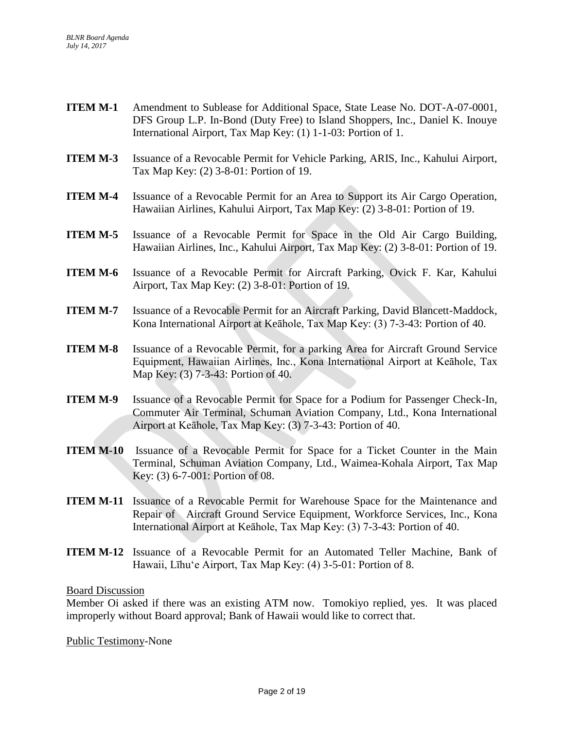- **ITEM M-1** Amendment to Sublease for Additional Space, State Lease No. DOT-A-07-0001, DFS Group L.P. In-Bond (Duty Free) to Island Shoppers, Inc., Daniel K. Inouye International Airport, Tax Map Key: (1) 1-1-03: Portion of 1.
- **ITEM M-3** Issuance of a Revocable Permit for Vehicle Parking, ARIS, Inc., Kahului Airport, Tax Map Key: (2) 3-8-01: Portion of 19.
- **ITEM M-4** Issuance of a Revocable Permit for an Area to Support its Air Cargo Operation, Hawaiian Airlines, Kahului Airport, Tax Map Key: (2) 3-8-01: Portion of 19.
- **ITEM M-5** Issuance of a Revocable Permit for Space in the Old Air Cargo Building, Hawaiian Airlines, Inc., Kahului Airport, Tax Map Key: (2) 3-8-01: Portion of 19.
- **ITEM M-6** Issuance of a Revocable Permit for Aircraft Parking, Ovick F. Kar, Kahului Airport, Tax Map Key: (2) 3-8-01: Portion of 19.
- **ITEM M-7** Issuance of a Revocable Permit for an Aircraft Parking, David Blancett-Maddock, Kona International Airport at Keāhole, Tax Map Key: (3) 7-3-43: Portion of 40.
- **ITEM M-8** Issuance of a Revocable Permit, for a parking Area for Aircraft Ground Service Equipment, Hawaiian Airlines, Inc., Kona International Airport at Keāhole, Tax Map Key: (3) 7-3-43: Portion of 40.
- **ITEM M-9** Issuance of a Revocable Permit for Space for a Podium for Passenger Check-In, Commuter Air Terminal, Schuman Aviation Company, Ltd., Kona International Airport at Keāhole, Tax Map Key: (3) 7-3-43: Portion of 40.
- **ITEM M-10** Issuance of a Revocable Permit for Space for a Ticket Counter in the Main Terminal, Schuman Aviation Company, Ltd., Waimea-Kohala Airport, Tax Map Key: (3) 6-7-001: Portion of 08.
- **ITEM M-11** Issuance of a Revocable Permit for Warehouse Space for the Maintenance and Repair of Aircraft Ground Service Equipment, Workforce Services, Inc., Kona International Airport at Keāhole, Tax Map Key: (3) 7-3-43: Portion of 40.
- **ITEM M-12** Issuance of a Revocable Permit for an Automated Teller Machine, Bank of Hawaii, Līhuʻe Airport, Tax Map Key: (4) 3-5-01: Portion of 8.

Member Oi asked if there was an existing ATM now. Tomokiyo replied, yes. It was placed improperly without Board approval; Bank of Hawaii would like to correct that.

Public Testimony-None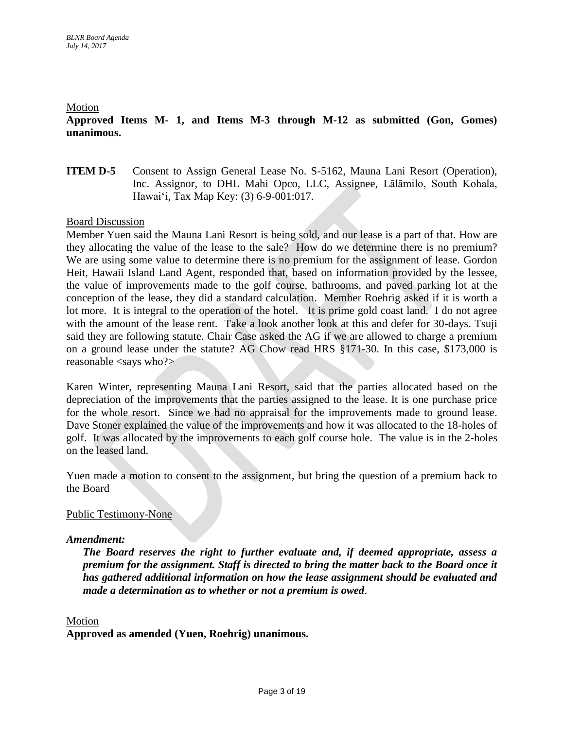### Motion

**Approved Items M- 1, and Items M-3 through M-12 as submitted (Gon, Gomes) unanimous.**

## **ITEM D-5** Consent to Assign General Lease No. S-5162, Mauna Lani Resort (Operation), Inc. Assignor, to DHL Mahi Opco, LLC, Assignee, Lālāmilo, South Kohala, Hawaiʻi*,* Tax Map Key: (3) 6-9-001:017.

## Board Discussion

Member Yuen said the Mauna Lani Resort is being sold, and our lease is a part of that. How are they allocating the value of the lease to the sale? How do we determine there is no premium? We are using some value to determine there is no premium for the assignment of lease. Gordon Heit, Hawaii Island Land Agent, responded that, based on information provided by the lessee, the value of improvements made to the golf course, bathrooms, and paved parking lot at the conception of the lease, they did a standard calculation. Member Roehrig asked if it is worth a lot more. It is integral to the operation of the hotel. It is prime gold coast land. I do not agree with the amount of the lease rent. Take a look another look at this and defer for 30-days. Tsuji said they are following statute. Chair Case asked the AG if we are allowed to charge a premium on a ground lease under the statute? AG Chow read HRS §171-30. In this case, \$173,000 is reasonable <says who?>

Karen Winter, representing Mauna Lani Resort, said that the parties allocated based on the depreciation of the improvements that the parties assigned to the lease. It is one purchase price for the whole resort. Since we had no appraisal for the improvements made to ground lease. Dave Stoner explained the value of the improvements and how it was allocated to the 18-holes of golf. It was allocated by the improvements to each golf course hole. The value is in the 2-holes on the leased land.

Yuen made a motion to consent to the assignment, but bring the question of a premium back to the Board

## Public Testimony-None

## *Amendment:*

*The Board reserves the right to further evaluate and, if deemed appropriate, assess a premium for the assignment. Staff is directed to bring the matter back to the Board once it has gathered additional information on how the lease assignment should be evaluated and made a determination as to whether or not a premium is owed*.

### Motion

**Approved as amended (Yuen, Roehrig) unanimous.**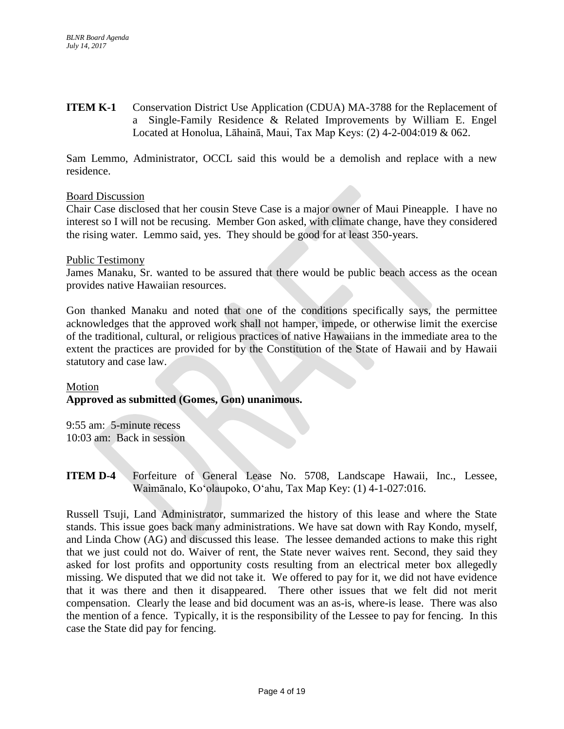**ITEM K-1** Conservation District Use Application (CDUA) MA-3788 for the Replacement of a Single-Family Residence & Related Improvements by William E. Engel Located at Honolua, Lāhainā, Maui, Tax Map Keys: (2) 4-2-004:019 & 062.

Sam Lemmo, Administrator, OCCL said this would be a demolish and replace with a new residence.

## Board Discussion

Chair Case disclosed that her cousin Steve Case is a major owner of Maui Pineapple. I have no interest so I will not be recusing. Member Gon asked, with climate change, have they considered the rising water. Lemmo said, yes. They should be good for at least 350-years.

## Public Testimony

James Manaku, Sr. wanted to be assured that there would be public beach access as the ocean provides native Hawaiian resources.

Gon thanked Manaku and noted that one of the conditions specifically says, the permittee acknowledges that the approved work shall not hamper, impede, or otherwise limit the exercise of the traditional, cultural, or religious practices of native Hawaiians in the immediate area to the extent the practices are provided for by the Constitution of the State of Hawaii and by Hawaii statutory and case law.

## Motion **Approved as submitted (Gomes, Gon) unanimous.**

9:55 am: 5-minute recess 10:03 am: Back in session

**ITEM D-4** Forfeiture of General Lease No. 5708, Landscape Hawaii, Inc., Lessee, Waimānalo, Koʻolaupoko, Oʻahu, Tax Map Key: (1) 4-1-027:016.

Russell Tsuji, Land Administrator, summarized the history of this lease and where the State stands. This issue goes back many administrations. We have sat down with Ray Kondo, myself, and Linda Chow (AG) and discussed this lease. The lessee demanded actions to make this right that we just could not do. Waiver of rent, the State never waives rent. Second, they said they asked for lost profits and opportunity costs resulting from an electrical meter box allegedly missing. We disputed that we did not take it. We offered to pay for it, we did not have evidence that it was there and then it disappeared. There other issues that we felt did not merit compensation. Clearly the lease and bid document was an as-is, where-is lease. There was also the mention of a fence. Typically, it is the responsibility of the Lessee to pay for fencing. In this case the State did pay for fencing.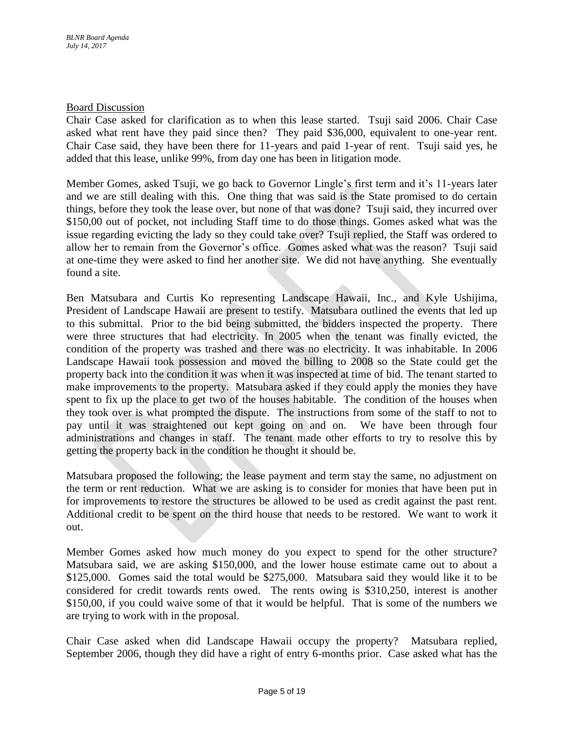Chair Case asked for clarification as to when this lease started. Tsuji said 2006. Chair Case asked what rent have they paid since then? They paid \$36,000, equivalent to one-year rent. Chair Case said, they have been there for 11-years and paid 1-year of rent. Tsuji said yes, he added that this lease, unlike 99%, from day one has been in litigation mode.

Member Gomes, asked Tsuji, we go back to Governor Lingle's first term and it's 11-years later and we are still dealing with this. One thing that was said is the State promised to do certain things, before they took the lease over, but none of that was done? Tsuji said, they incurred over \$150,00 out of pocket, not including Staff time to do those things. Gomes asked what was the issue regarding evicting the lady so they could take over? Tsuji replied, the Staff was ordered to allow her to remain from the Governor's office. Gomes asked what was the reason? Tsuji said at one-time they were asked to find her another site. We did not have anything. She eventually found a site.

Ben Matsubara and Curtis Ko representing Landscape Hawaii, Inc., and Kyle Ushijima, President of Landscape Hawaii are present to testify. Matsubara outlined the events that led up to this submittal. Prior to the bid being submitted, the bidders inspected the property. There were three structures that had electricity. In 2005 when the tenant was finally evicted, the condition of the property was trashed and there was no electricity. It was inhabitable. In 2006 Landscape Hawaii took possession and moved the billing to 2008 so the State could get the property back into the condition it was when it was inspected at time of bid. The tenant started to make improvements to the property. Matsubara asked if they could apply the monies they have spent to fix up the place to get two of the houses habitable. The condition of the houses when they took over is what prompted the dispute. The instructions from some of the staff to not to pay until it was straightened out kept going on and on. We have been through four administrations and changes in staff. The tenant made other efforts to try to resolve this by getting the property back in the condition he thought it should be.

Matsubara proposed the following; the lease payment and term stay the same, no adjustment on the term or rent reduction. What we are asking is to consider for monies that have been put in for improvements to restore the structures be allowed to be used as credit against the past rent. Additional credit to be spent on the third house that needs to be restored. We want to work it out.

Member Gomes asked how much money do you expect to spend for the other structure? Matsubara said, we are asking \$150,000, and the lower house estimate came out to about a \$125,000. Gomes said the total would be \$275,000. Matsubara said they would like it to be considered for credit towards rents owed. The rents owing is \$310,250, interest is another \$150,00, if you could waive some of that it would be helpful. That is some of the numbers we are trying to work with in the proposal.

Chair Case asked when did Landscape Hawaii occupy the property? Matsubara replied, September 2006, though they did have a right of entry 6-months prior. Case asked what has the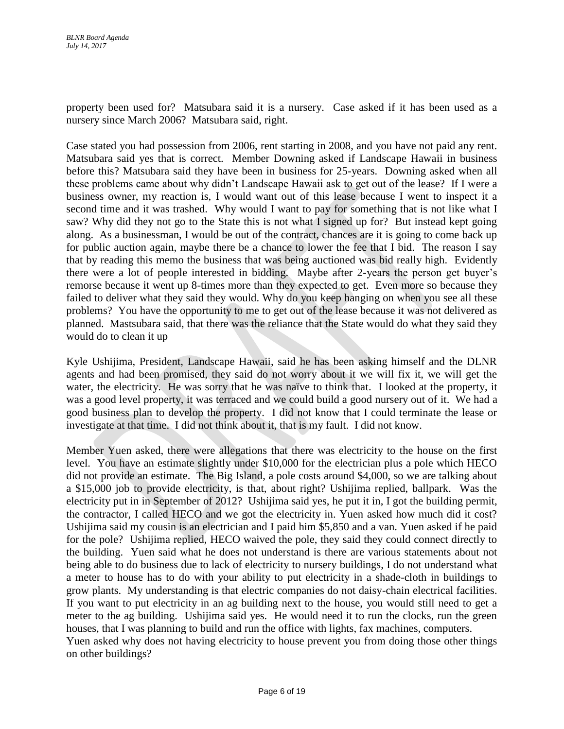property been used for? Matsubara said it is a nursery. Case asked if it has been used as a nursery since March 2006? Matsubara said, right.

Case stated you had possession from 2006, rent starting in 2008, and you have not paid any rent. Matsubara said yes that is correct. Member Downing asked if Landscape Hawaii in business before this? Matsubara said they have been in business for 25-years. Downing asked when all these problems came about why didn't Landscape Hawaii ask to get out of the lease? If I were a business owner, my reaction is, I would want out of this lease because I went to inspect it a second time and it was trashed. Why would I want to pay for something that is not like what I saw? Why did they not go to the State this is not what I signed up for? But instead kept going along. As a businessman, I would be out of the contract, chances are it is going to come back up for public auction again, maybe there be a chance to lower the fee that I bid. The reason I say that by reading this memo the business that was being auctioned was bid really high. Evidently there were a lot of people interested in bidding. Maybe after 2-years the person get buyer's remorse because it went up 8-times more than they expected to get. Even more so because they failed to deliver what they said they would. Why do you keep hanging on when you see all these problems? You have the opportunity to me to get out of the lease because it was not delivered as planned. Mastsubara said, that there was the reliance that the State would do what they said they would do to clean it up

Kyle Ushijima, President, Landscape Hawaii, said he has been asking himself and the DLNR agents and had been promised, they said do not worry about it we will fix it, we will get the water, the electricity. He was sorry that he was naïve to think that. I looked at the property, it was a good level property, it was terraced and we could build a good nursery out of it. We had a good business plan to develop the property. I did not know that I could terminate the lease or investigate at that time. I did not think about it, that is my fault. I did not know.

Member Yuen asked, there were allegations that there was electricity to the house on the first level. You have an estimate slightly under \$10,000 for the electrician plus a pole which HECO did not provide an estimate. The Big Island, a pole costs around \$4,000, so we are talking about a \$15,000 job to provide electricity, is that, about right? Ushijima replied, ballpark. Was the electricity put in in September of 2012? Ushijima said yes, he put it in, I got the building permit, the contractor, I called HECO and we got the electricity in. Yuen asked how much did it cost? Ushijima said my cousin is an electrician and I paid him \$5,850 and a van. Yuen asked if he paid for the pole? Ushijima replied, HECO waived the pole, they said they could connect directly to the building. Yuen said what he does not understand is there are various statements about not being able to do business due to lack of electricity to nursery buildings, I do not understand what a meter to house has to do with your ability to put electricity in a shade-cloth in buildings to grow plants. My understanding is that electric companies do not daisy-chain electrical facilities. If you want to put electricity in an ag building next to the house, you would still need to get a meter to the ag building. Ushijima said yes. He would need it to run the clocks, run the green houses, that I was planning to build and run the office with lights, fax machines, computers. Yuen asked why does not having electricity to house prevent you from doing those other things on other buildings?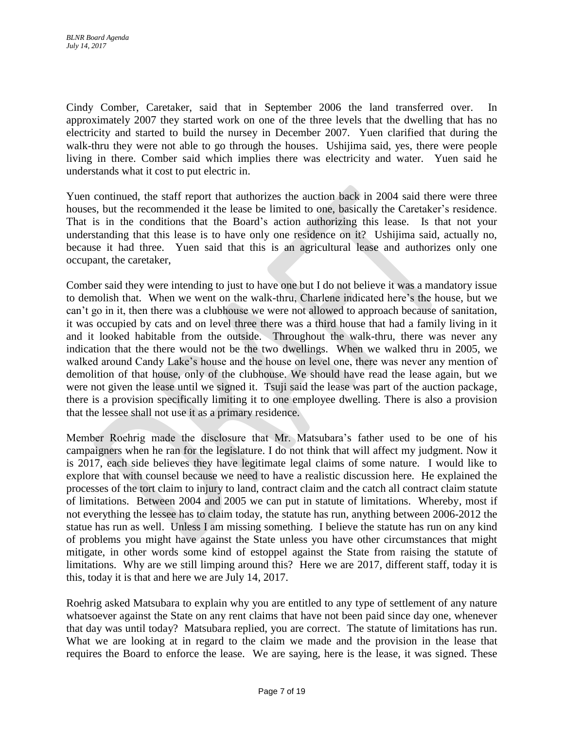Cindy Comber, Caretaker, said that in September 2006 the land transferred over. In approximately 2007 they started work on one of the three levels that the dwelling that has no electricity and started to build the nursey in December 2007. Yuen clarified that during the walk-thru they were not able to go through the houses. Ushijima said, yes, there were people living in there. Comber said which implies there was electricity and water. Yuen said he understands what it cost to put electric in.

Yuen continued, the staff report that authorizes the auction back in 2004 said there were three houses, but the recommended it the lease be limited to one, basically the Caretaker's residence. That is in the conditions that the Board's action authorizing this lease. Is that not your understanding that this lease is to have only one residence on it? Ushijima said, actually no, because it had three. Yuen said that this is an agricultural lease and authorizes only one occupant, the caretaker,

Comber said they were intending to just to have one but I do not believe it was a mandatory issue to demolish that. When we went on the walk-thru, Charlene indicated here's the house, but we can't go in it, then there was a clubhouse we were not allowed to approach because of sanitation, it was occupied by cats and on level three there was a third house that had a family living in it and it looked habitable from the outside. Throughout the walk-thru, there was never any indication that the there would not be the two dwellings. When we walked thru in 2005, we walked around Candy Lake's house and the house on level one, there was never any mention of demolition of that house, only of the clubhouse. We should have read the lease again, but we were not given the lease until we signed it. Tsuji said the lease was part of the auction package, there is a provision specifically limiting it to one employee dwelling. There is also a provision that the lessee shall not use it as a primary residence.

Member Roehrig made the disclosure that Mr. Matsubara's father used to be one of his campaigners when he ran for the legislature. I do not think that will affect my judgment. Now it is 2017, each side believes they have legitimate legal claims of some nature. I would like to explore that with counsel because we need to have a realistic discussion here. He explained the processes of the tort claim to injury to land, contract claim and the catch all contract claim statute of limitations. Between 2004 and 2005 we can put in statute of limitations. Whereby, most if not everything the lessee has to claim today, the statute has run, anything between 2006-2012 the statue has run as well. Unless I am missing something. I believe the statute has run on any kind of problems you might have against the State unless you have other circumstances that might mitigate, in other words some kind of estoppel against the State from raising the statute of limitations. Why are we still limping around this? Here we are 2017, different staff, today it is this, today it is that and here we are July 14, 2017.

Roehrig asked Matsubara to explain why you are entitled to any type of settlement of any nature whatsoever against the State on any rent claims that have not been paid since day one, whenever that day was until today? Matsubara replied, you are correct. The statute of limitations has run. What we are looking at in regard to the claim we made and the provision in the lease that requires the Board to enforce the lease. We are saying, here is the lease, it was signed. These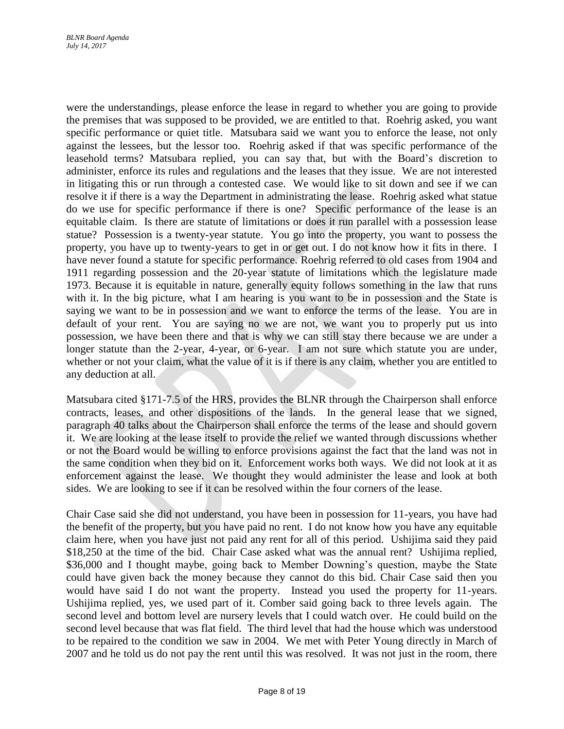were the understandings, please enforce the lease in regard to whether you are going to provide the premises that was supposed to be provided, we are entitled to that. Roehrig asked, you want specific performance or quiet title. Matsubara said we want you to enforce the lease, not only against the lessees, but the lessor too. Roehrig asked if that was specific performance of the leasehold terms? Matsubara replied, you can say that, but with the Board's discretion to administer, enforce its rules and regulations and the leases that they issue. We are not interested in litigating this or run through a contested case. We would like to sit down and see if we can resolve it if there is a way the Department in administrating the lease. Roehrig asked what statue do we use for specific performance if there is one? Specific performance of the lease is an equitable claim. Is there are statute of limitations or does it run parallel with a possession lease statue? Possession is a twenty-year statute. You go into the property, you want to possess the property, you have up to twenty-years to get in or get out. I do not know how it fits in there. I have never found a statute for specific performance. Roehrig referred to old cases from 1904 and 1911 regarding possession and the 20-year statute of limitations which the legislature made 1973. Because it is equitable in nature, generally equity follows something in the law that runs with it. In the big picture, what I am hearing is you want to be in possession and the State is saying we want to be in possession and we want to enforce the terms of the lease. You are in default of your rent. You are saying no we are not, we want you to properly put us into possession, we have been there and that is why we can still stay there because we are under a longer statute than the 2-year, 4-year, or 6-year. I am not sure which statute you are under, whether or not your claim, what the value of it is if there is any claim, whether you are entitled to any deduction at all.

Matsubara cited §171-7.5 of the HRS, provides the BLNR through the Chairperson shall enforce contracts, leases, and other dispositions of the lands. In the general lease that we signed, paragraph 40 talks about the Chairperson shall enforce the terms of the lease and should govern it. We are looking at the lease itself to provide the relief we wanted through discussions whether or not the Board would be willing to enforce provisions against the fact that the land was not in the same condition when they bid on it. Enforcement works both ways. We did not look at it as enforcement against the lease. We thought they would administer the lease and look at both sides. We are looking to see if it can be resolved within the four corners of the lease.

Chair Case said she did not understand, you have been in possession for 11-years, you have had the benefit of the property, but you have paid no rent. I do not know how you have any equitable claim here, when you have just not paid any rent for all of this period. Ushijima said they paid \$18,250 at the time of the bid. Chair Case asked what was the annual rent? Ushijima replied, \$36,000 and I thought maybe, going back to Member Downing's question, maybe the State could have given back the money because they cannot do this bid. Chair Case said then you would have said I do not want the property. Instead you used the property for 11-years. Ushijima replied, yes, we used part of it. Comber said going back to three levels again. The second level and bottom level are nursery levels that I could watch over. He could build on the second level because that was flat field. The third level that had the house which was understood to be repaired to the condition we saw in 2004. We met with Peter Young directly in March of 2007 and he told us do not pay the rent until this was resolved. It was not just in the room, there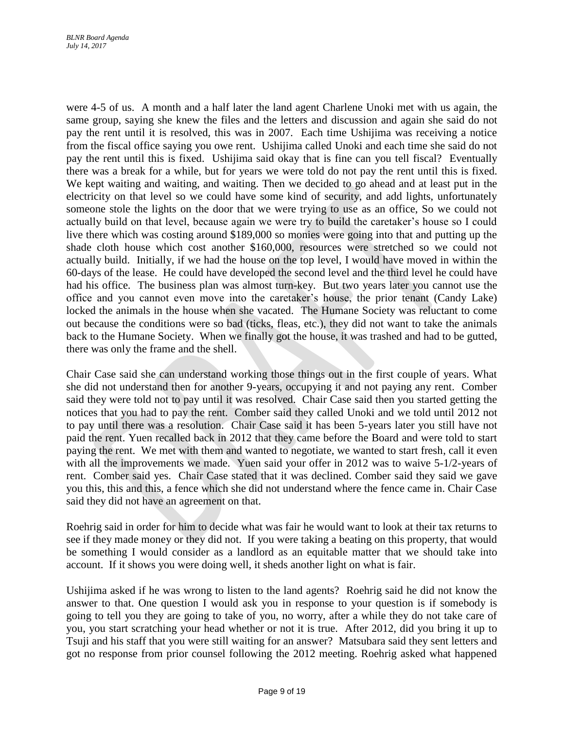were 4-5 of us. A month and a half later the land agent Charlene Unoki met with us again, the same group, saying she knew the files and the letters and discussion and again she said do not pay the rent until it is resolved, this was in 2007. Each time Ushijima was receiving a notice from the fiscal office saying you owe rent. Ushijima called Unoki and each time she said do not pay the rent until this is fixed. Ushijima said okay that is fine can you tell fiscal? Eventually there was a break for a while, but for years we were told do not pay the rent until this is fixed. We kept waiting and waiting, and waiting. Then we decided to go ahead and at least put in the electricity on that level so we could have some kind of security, and add lights, unfortunately someone stole the lights on the door that we were trying to use as an office, So we could not actually build on that level, because again we were try to build the caretaker's house so I could live there which was costing around \$189,000 so monies were going into that and putting up the shade cloth house which cost another \$160,000, resources were stretched so we could not actually build. Initially, if we had the house on the top level, I would have moved in within the 60-days of the lease. He could have developed the second level and the third level he could have had his office. The business plan was almost turn-key. But two years later you cannot use the office and you cannot even move into the caretaker's house, the prior tenant (Candy Lake) locked the animals in the house when she vacated. The Humane Society was reluctant to come out because the conditions were so bad (ticks, fleas, etc.), they did not want to take the animals back to the Humane Society. When we finally got the house, it was trashed and had to be gutted, there was only the frame and the shell.

Chair Case said she can understand working those things out in the first couple of years. What she did not understand then for another 9-years, occupying it and not paying any rent. Comber said they were told not to pay until it was resolved. Chair Case said then you started getting the notices that you had to pay the rent. Comber said they called Unoki and we told until 2012 not to pay until there was a resolution. Chair Case said it has been 5-years later you still have not paid the rent. Yuen recalled back in 2012 that they came before the Board and were told to start paying the rent. We met with them and wanted to negotiate, we wanted to start fresh, call it even with all the improvements we made. Yuen said your offer in 2012 was to waive 5-1/2-years of rent. Comber said yes. Chair Case stated that it was declined. Comber said they said we gave you this, this and this, a fence which she did not understand where the fence came in. Chair Case said they did not have an agreement on that.

Roehrig said in order for him to decide what was fair he would want to look at their tax returns to see if they made money or they did not. If you were taking a beating on this property, that would be something I would consider as a landlord as an equitable matter that we should take into account. If it shows you were doing well, it sheds another light on what is fair.

Ushijima asked if he was wrong to listen to the land agents? Roehrig said he did not know the answer to that. One question I would ask you in response to your question is if somebody is going to tell you they are going to take of you, no worry, after a while they do not take care of you, you start scratching your head whether or not it is true. After 2012, did you bring it up to Tsuji and his staff that you were still waiting for an answer? Matsubara said they sent letters and got no response from prior counsel following the 2012 meeting. Roehrig asked what happened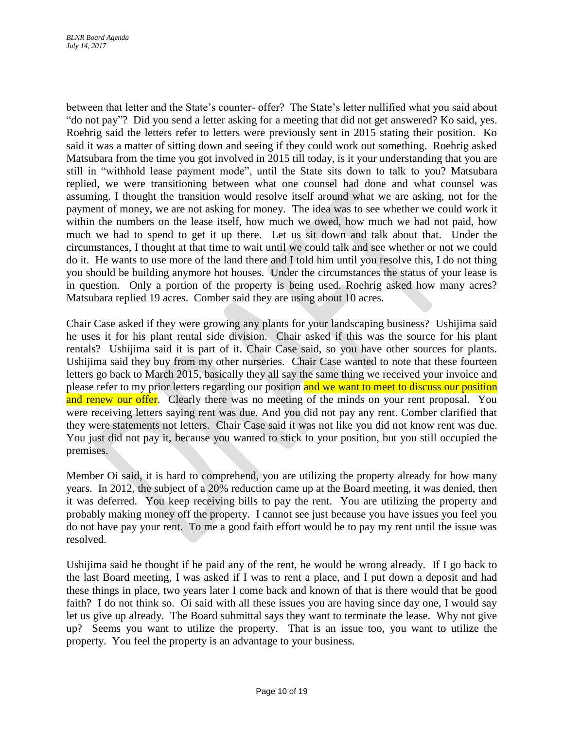between that letter and the State's counter- offer? The State's letter nullified what you said about "do not pay"? Did you send a letter asking for a meeting that did not get answered? Ko said, yes. Roehrig said the letters refer to letters were previously sent in 2015 stating their position. Ko said it was a matter of sitting down and seeing if they could work out something. Roehrig asked Matsubara from the time you got involved in 2015 till today, is it your understanding that you are still in "withhold lease payment mode", until the State sits down to talk to you? Matsubara replied, we were transitioning between what one counsel had done and what counsel was assuming. I thought the transition would resolve itself around what we are asking, not for the payment of money, we are not asking for money. The idea was to see whether we could work it within the numbers on the lease itself, how much we owed, how much we had not paid, how much we had to spend to get it up there. Let us sit down and talk about that. Under the circumstances, I thought at that time to wait until we could talk and see whether or not we could do it. He wants to use more of the land there and I told him until you resolve this, I do not thing you should be building anymore hot houses. Under the circumstances the status of your lease is in question. Only a portion of the property is being used. Roehrig asked how many acres? Matsubara replied 19 acres. Comber said they are using about 10 acres.

Chair Case asked if they were growing any plants for your landscaping business? Ushijima said he uses it for his plant rental side division. Chair asked if this was the source for his plant rentals? Ushijima said it is part of it. Chair Case said, so you have other sources for plants. Ushijima said they buy from my other nurseries. Chair Case wanted to note that these fourteen letters go back to March 2015, basically they all say the same thing we received your invoice and please refer to my prior letters regarding our position and we want to meet to discuss our position and renew our offer. Clearly there was no meeting of the minds on your rent proposal. You were receiving letters saying rent was due. And you did not pay any rent. Comber clarified that they were statements not letters. Chair Case said it was not like you did not know rent was due. You just did not pay it, because you wanted to stick to your position, but you still occupied the premises.

Member Oi said, it is hard to comprehend, you are utilizing the property already for how many years. In 2012, the subject of a 20% reduction came up at the Board meeting, it was denied, then it was deferred. You keep receiving bills to pay the rent. You are utilizing the property and probably making money off the property. I cannot see just because you have issues you feel you do not have pay your rent. To me a good faith effort would be to pay my rent until the issue was resolved.

Ushijima said he thought if he paid any of the rent, he would be wrong already. If I go back to the last Board meeting, I was asked if I was to rent a place, and I put down a deposit and had these things in place, two years later I come back and known of that is there would that be good faith? I do not think so. Oi said with all these issues you are having since day one, I would say let us give up already. The Board submittal says they want to terminate the lease. Why not give up? Seems you want to utilize the property. That is an issue too, you want to utilize the property. You feel the property is an advantage to your business.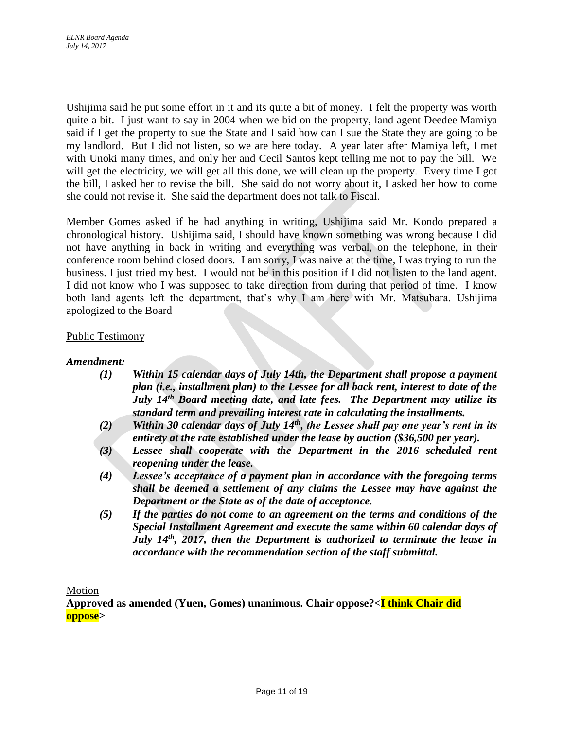Ushijima said he put some effort in it and its quite a bit of money. I felt the property was worth quite a bit. I just want to say in 2004 when we bid on the property, land agent Deedee Mamiya said if I get the property to sue the State and I said how can I sue the State they are going to be my landlord. But I did not listen, so we are here today. A year later after Mamiya left, I met with Unoki many times, and only her and Cecil Santos kept telling me not to pay the bill. We will get the electricity, we will get all this done, we will clean up the property. Every time I got the bill, I asked her to revise the bill. She said do not worry about it, I asked her how to come she could not revise it. She said the department does not talk to Fiscal.

Member Gomes asked if he had anything in writing, Ushijima said Mr. Kondo prepared a chronological history. Ushijima said, I should have known something was wrong because I did not have anything in back in writing and everything was verbal, on the telephone, in their conference room behind closed doors. I am sorry, I was naive at the time, I was trying to run the business. I just tried my best. I would not be in this position if I did not listen to the land agent. I did not know who I was supposed to take direction from during that period of time. I know both land agents left the department, that's why I am here with Mr. Matsubara. Ushijima apologized to the Board

## Public Testimony

## *Amendment:*

- *(1) Within 15 calendar days of July 14th, the Department shall propose a payment plan (i.e., installment plan) to the Lessee for all back rent, interest to date of the July 14th Board meeting date, and late fees. The Department may utilize its standard term and prevailing interest rate in calculating the installments.*
- *(2) Within 30 calendar days of July 14th, the Lessee shall pay one year's rent in its entirety at the rate established under the lease by auction (\$36,500 per year).*
- *(3) Lessee shall cooperate with the Department in the 2016 scheduled rent reopening under the lease.*
- *(4) Lessee's acceptance of a payment plan in accordance with the foregoing terms shall be deemed a settlement of any claims the Lessee may have against the Department or the State as of the date of acceptance.*
- *(5) If the parties do not come to an agreement on the terms and conditions of the Special Installment Agreement and execute the same within 60 calendar days of July 14th, 2017, then the Department is authorized to terminate the lease in accordance with the recommendation section of the staff submittal.*

Motion

**Approved as amended (Yuen, Gomes) unanimous. Chair oppose?<I think Chair did oppose>**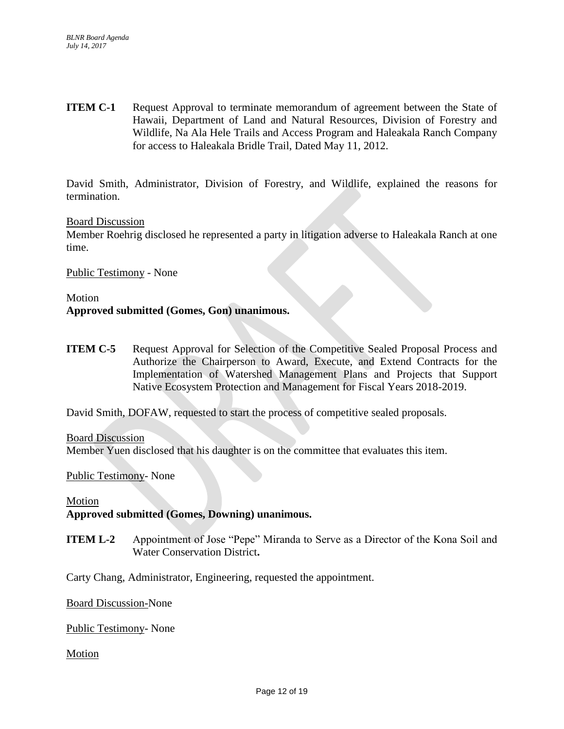**ITEM C-1** Request Approval to terminate memorandum of agreement between the State of Hawaii, Department of Land and Natural Resources, Division of Forestry and Wildlife, Na Ala Hele Trails and Access Program and Haleakala Ranch Company for access to Haleakala Bridle Trail, Dated May 11, 2012.

David Smith, Administrator, Division of Forestry, and Wildlife, explained the reasons for termination.

### Board Discussion

Member Roehrig disclosed he represented a party in litigation adverse to Haleakala Ranch at one time.

Public Testimony - None

# Motion **Approved submitted (Gomes, Gon) unanimous.**

**ITEM C-5** Request Approval for Selection of the Competitive Sealed Proposal Process and Authorize the Chairperson to Award, Execute, and Extend Contracts for the Implementation of Watershed Management Plans and Projects that Support Native Ecosystem Protection and Management for Fiscal Years 2018-2019.

David Smith, DOFAW, requested to start the process of competitive sealed proposals.

Board Discussion Member Yuen disclosed that his daughter is on the committee that evaluates this item.

Public Testimony- None

### Motion

## **Approved submitted (Gomes, Downing) unanimous.**

**ITEM L-2** Appointment of Jose "Pepe" Miranda to Serve as a Director of the Kona Soil and Water Conservation District**.**

Carty Chang, Administrator, Engineering, requested the appointment.

Board Discussion-None

Public Testimony- None

### Motion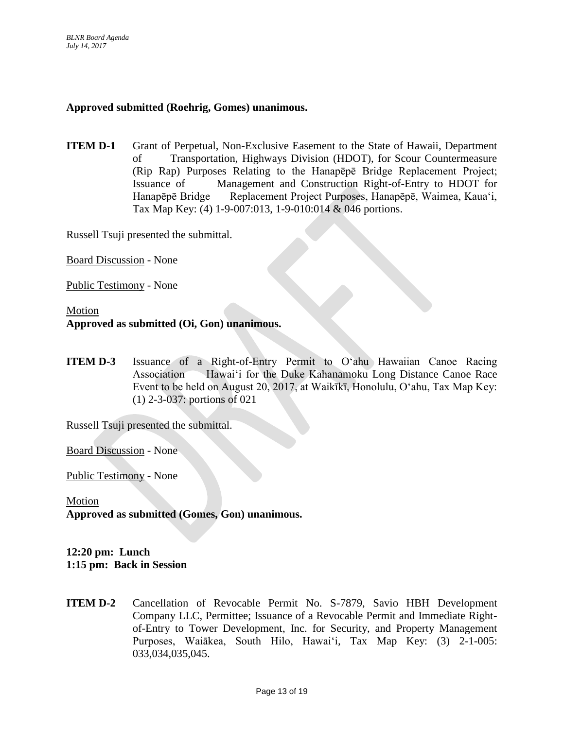## **Approved submitted (Roehrig, Gomes) unanimous.**

**ITEM D-1** Grant of Perpetual, Non-Exclusive Easement to the State of Hawaii, Department of Transportation, Highways Division (HDOT), for Scour Countermeasure (Rip Rap) Purposes Relating to the Hanapēpē Bridge Replacement Project; Issuance of Management and Construction Right-of-Entry to HDOT for Hanapēpē Bridge Replacement Project Purposes, Hanapēpē, Waimea, Kauaʻi, Tax Map Key: (4) 1-9-007:013, 1-9-010:014 & 046 portions.

Russell Tsuji presented the submittal.

Board Discussion - None

Public Testimony - None

## Motion **Approved as submitted (Oi, Gon) unanimous.**

**ITEM D-3** Issuance of a Right-of-Entry Permit to O'ahu Hawaiian Canoe Racing Association Hawaiʻi for the Duke Kahanamoku Long Distance Canoe Race Event to be held on August 20, 2017, at Waikīkī, Honolulu, Oʻahu, Tax Map Key: (1) 2-3-037: portions of 021

Russell Tsuji presented the submittal.

Board Discussion - None

Public Testimony - None

### Motion

**Approved as submitted (Gomes, Gon) unanimous.**

## **12:20 pm: Lunch 1:15 pm: Back in Session**

**ITEM D-2** Cancellation of Revocable Permit No. S-7879, Savio HBH Development Company LLC, Permittee; Issuance of a Revocable Permit and Immediate Rightof-Entry to Tower Development, Inc. for Security, and Property Management Purposes, Waiākea, South Hilo, Hawaiʻi*,* Tax Map Key: (3) 2-1-005: 033,034,035,045.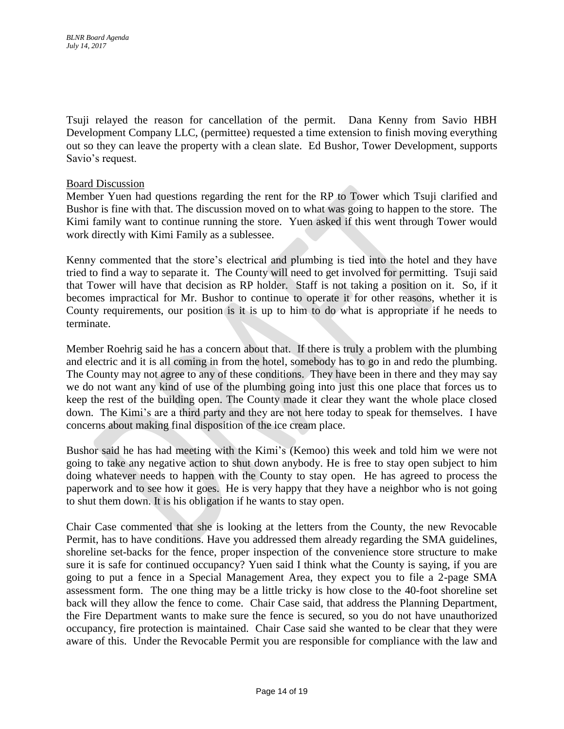Tsuji relayed the reason for cancellation of the permit. Dana Kenny from Savio HBH Development Company LLC, (permittee) requested a time extension to finish moving everything out so they can leave the property with a clean slate. Ed Bushor, Tower Development, supports Savio's request.

## Board Discussion

Member Yuen had questions regarding the rent for the RP to Tower which Tsuji clarified and Bushor is fine with that. The discussion moved on to what was going to happen to the store. The Kimi family want to continue running the store. Yuen asked if this went through Tower would work directly with Kimi Family as a sublessee.

Kenny commented that the store's electrical and plumbing is tied into the hotel and they have tried to find a way to separate it. The County will need to get involved for permitting. Tsuji said that Tower will have that decision as RP holder. Staff is not taking a position on it. So, if it becomes impractical for Mr. Bushor to continue to operate it for other reasons, whether it is County requirements, our position is it is up to him to do what is appropriate if he needs to terminate.

Member Roehrig said he has a concern about that. If there is truly a problem with the plumbing and electric and it is all coming in from the hotel, somebody has to go in and redo the plumbing. The County may not agree to any of these conditions. They have been in there and they may say we do not want any kind of use of the plumbing going into just this one place that forces us to keep the rest of the building open. The County made it clear they want the whole place closed down. The Kimi's are a third party and they are not here today to speak for themselves. I have concerns about making final disposition of the ice cream place.

Bushor said he has had meeting with the Kimi's (Kemoo) this week and told him we were not going to take any negative action to shut down anybody. He is free to stay open subject to him doing whatever needs to happen with the County to stay open. He has agreed to process the paperwork and to see how it goes. He is very happy that they have a neighbor who is not going to shut them down. It is his obligation if he wants to stay open.

Chair Case commented that she is looking at the letters from the County, the new Revocable Permit, has to have conditions. Have you addressed them already regarding the SMA guidelines, shoreline set-backs for the fence, proper inspection of the convenience store structure to make sure it is safe for continued occupancy? Yuen said I think what the County is saying, if you are going to put a fence in a Special Management Area, they expect you to file a 2-page SMA assessment form. The one thing may be a little tricky is how close to the 40-foot shoreline set back will they allow the fence to come. Chair Case said, that address the Planning Department, the Fire Department wants to make sure the fence is secured, so you do not have unauthorized occupancy, fire protection is maintained. Chair Case said she wanted to be clear that they were aware of this. Under the Revocable Permit you are responsible for compliance with the law and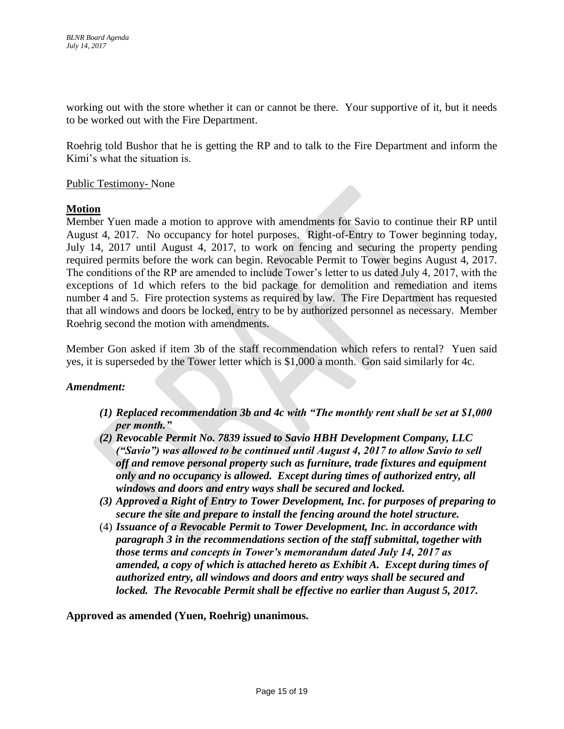working out with the store whether it can or cannot be there. Your supportive of it, but it needs to be worked out with the Fire Department.

Roehrig told Bushor that he is getting the RP and to talk to the Fire Department and inform the Kimi's what the situation is.

## Public Testimony- None

## **Motion**

Member Yuen made a motion to approve with amendments for Savio to continue their RP until August 4, 2017. No occupancy for hotel purposes. Right-of-Entry to Tower beginning today, July 14, 2017 until August 4, 2017, to work on fencing and securing the property pending required permits before the work can begin. Revocable Permit to Tower begins August 4, 2017. The conditions of the RP are amended to include Tower's letter to us dated July 4, 2017, with the exceptions of 1d which refers to the bid package for demolition and remediation and items number 4 and 5. Fire protection systems as required by law. The Fire Department has requested that all windows and doors be locked, entry to be by authorized personnel as necessary. Member Roehrig second the motion with amendments.

Member Gon asked if item 3b of the staff recommendation which refers to rental? Yuen said yes, it is superseded by the Tower letter which is \$1,000 a month. Gon said similarly for 4c.

### *Amendment:*

- *(1) Replaced recommendation 3b and 4c with "The monthly rent shall be set at \$1,000 per month."*
- *(2) Revocable Permit No. 7839 issued to Savio HBH Development Company, LLC ("Savio") was allowed to be continued until August 4, 2017 to allow Savio to sell off and remove personal property such as furniture, trade fixtures and equipment only and no occupancy is allowed. Except during times of authorized entry, all windows and doors and entry ways shall be secured and locked.*
- *(3) Approved a Right of Entry to Tower Development, Inc. for purposes of preparing to secure the site and prepare to install the fencing around the hotel structure.*
- (4) *Issuance of a Revocable Permit to Tower Development, Inc. in accordance with paragraph 3 in the recommendations section of the staff submittal, together with those terms and concepts in Tower's memorandum dated July 14, 2017 as amended, a copy of which is attached hereto as Exhibit A. Except during times of authorized entry, all windows and doors and entry ways shall be secured and locked. The Revocable Permit shall be effective no earlier than August 5, 2017.*

**Approved as amended (Yuen, Roehrig) unanimous.**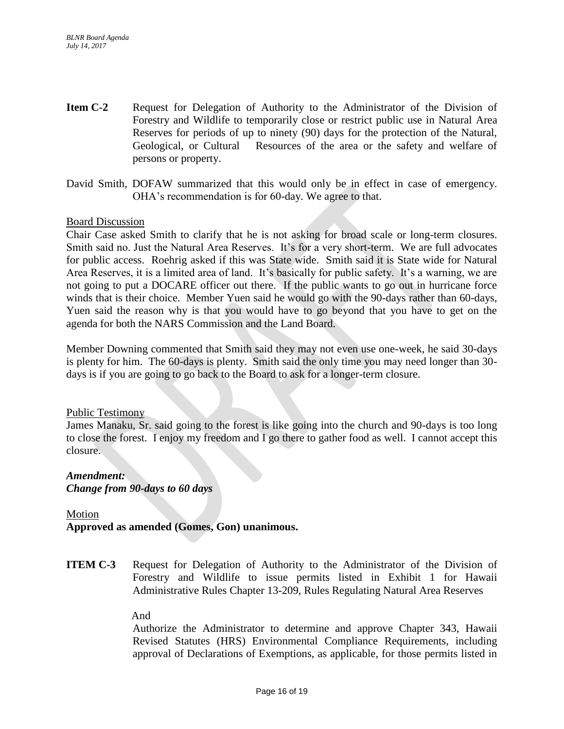- **Item C-2** Request for Delegation of Authority to the Administrator of the Division of Forestry and Wildlife to temporarily close or restrict public use in Natural Area Reserves for periods of up to ninety (90) days for the protection of the Natural, Geological, or Cultural Resources of the area or the safety and welfare of persons or property.
- David Smith, DOFAW summarized that this would only be in effect in case of emergency. OHA's recommendation is for 60-day. We agree to that.

Chair Case asked Smith to clarify that he is not asking for broad scale or long-term closures. Smith said no. Just the Natural Area Reserves. It's for a very short-term. We are full advocates for public access. Roehrig asked if this was State wide. Smith said it is State wide for Natural Area Reserves, it is a limited area of land. It's basically for public safety. It's a warning, we are not going to put a DOCARE officer out there. If the public wants to go out in hurricane force winds that is their choice. Member Yuen said he would go with the 90-days rather than 60-days, Yuen said the reason why is that you would have to go beyond that you have to get on the agenda for both the NARS Commission and the Land Board.

Member Downing commented that Smith said they may not even use one-week, he said 30-days is plenty for him. The 60-days is plenty. Smith said the only time you may need longer than 30 days is if you are going to go back to the Board to ask for a longer-term closure.

## Public Testimony

James Manaku, Sr. said going to the forest is like going into the church and 90-days is too long to close the forest. I enjoy my freedom and I go there to gather food as well. I cannot accept this closure.

### *Amendment: Change from 90-days to 60 days*

## Motion

# **Approved as amended (Gomes, Gon) unanimous.**

**ITEM C-3** Request for Delegation of Authority to the Administrator of the Division of Forestry and Wildlife to issue permits listed in Exhibit 1 for Hawaii Administrative Rules Chapter 13-209, Rules Regulating Natural Area Reserves

## And

Authorize the Administrator to determine and approve Chapter 343, Hawaii Revised Statutes (HRS) Environmental Compliance Requirements, including approval of Declarations of Exemptions, as applicable, for those permits listed in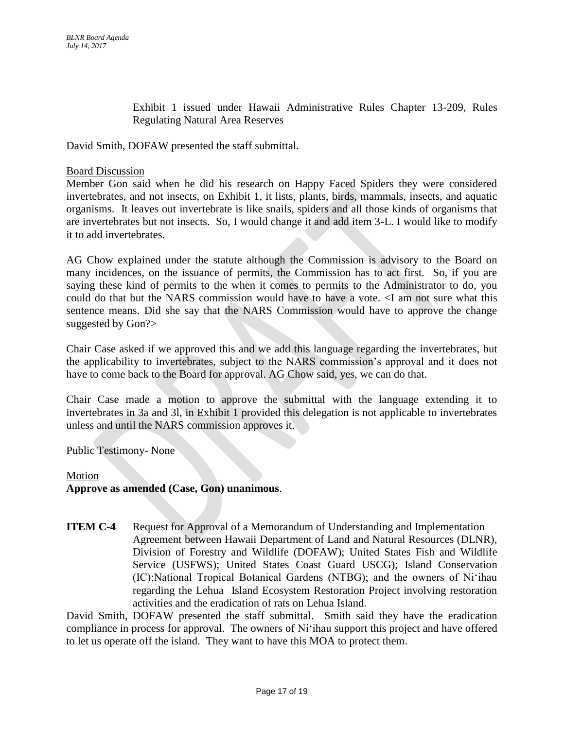Exhibit 1 issued under Hawaii Administrative Rules Chapter 13-209, Rules Regulating Natural Area Reserves

David Smith, DOFAW presented the staff submittal.

### Board Discussion

Member Gon said when he did his research on Happy Faced Spiders they were considered invertebrates, and not insects, on Exhibit 1, it lists, plants, birds, mammals, insects, and aquatic organisms. It leaves out invertebrate is like snails, spiders and all those kinds of organisms that are invertebrates but not insects. So, I would change it and add item 3-L. I would like to modify it to add invertebrates.

AG Chow explained under the statute although the Commission is advisory to the Board on many incidences, on the issuance of permits, the Commission has to act first. So, if you are saying these kind of permits to the when it comes to permits to the Administrator to do, you could do that but the NARS commission would have to have a vote. <I am not sure what this sentence means. Did she say that the NARS Commission would have to approve the change suggested by Gon?>

Chair Case asked if we approved this and we add this language regarding the invertebrates, but the applicability to invertebrates, subject to the NARS commission's approval and it does not have to come back to the Board for approval. AG Chow said, yes, we can do that.

Chair Case made a motion to approve the submittal with the language extending it to invertebrates in 3a and 3l, in Exhibit 1 provided this delegation is not applicable to invertebrates unless and until the NARS commission approves it.

Public Testimony- None

### Motion

### **Approve as amended (Case, Gon) unanimous**.

**ITEM C-4** Request for Approval of a Memorandum of Understanding and Implementation Agreement between Hawaii Department of Land and Natural Resources (DLNR), Division of Forestry and Wildlife (DOFAW); United States Fish and Wildlife Service (USFWS); United States Coast Guard USCG); Island Conservation (IC);National Tropical Botanical Gardens (NTBG); and the owners of Ni'ihau regarding the Lehua Island Ecosystem Restoration Project involving restoration activities and the eradication of rats on Lehua Island.

David Smith, DOFAW presented the staff submittal. Smith said they have the eradication compliance in process for approval. The owners of Ni'ihau support this project and have offered to let us operate off the island. They want to have this MOA to protect them.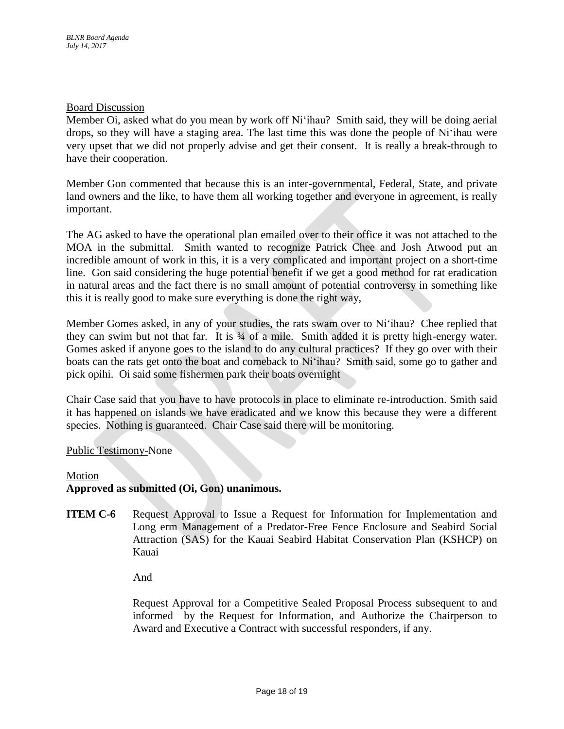Member Oi, asked what do you mean by work off Ni'ihau? Smith said, they will be doing aerial drops, so they will have a staging area. The last time this was done the people of Ni'ihau were very upset that we did not properly advise and get their consent. It is really a break-through to have their cooperation.

Member Gon commented that because this is an inter-governmental, Federal, State, and private land owners and the like, to have them all working together and everyone in agreement, is really important.

The AG asked to have the operational plan emailed over to their office it was not attached to the MOA in the submittal. Smith wanted to recognize Patrick Chee and Josh Atwood put an incredible amount of work in this, it is a very complicated and important project on a short-time line. Gon said considering the huge potential benefit if we get a good method for rat eradication in natural areas and the fact there is no small amount of potential controversy in something like this it is really good to make sure everything is done the right way,

Member Gomes asked, in any of your studies, the rats swam over to Ni'ihau? Chee replied that they can swim but not that far. It is  $\frac{3}{4}$  of a mile. Smith added it is pretty high-energy water. Gomes asked if anyone goes to the island to do any cultural practices? If they go over with their boats can the rats get onto the boat and comeback to Ni'ihau? Smith said, some go to gather and pick opihi. Oi said some fishermen park their boats overnight

Chair Case said that you have to have protocols in place to eliminate re-introduction. Smith said it has happened on islands we have eradicated and we know this because they were a different species. Nothing is guaranteed. Chair Case said there will be monitoring.

## Public Testimony-None

### Motion

## **Approved as submitted (Oi, Gon) unanimous.**

**ITEM C-6** Request Approval to Issue a Request for Information for Implementation and Long erm Management of a Predator-Free Fence Enclosure and Seabird Social Attraction (SAS) for the Kauai Seabird Habitat Conservation Plan (KSHCP) on Kauai

And

Request Approval for a Competitive Sealed Proposal Process subsequent to and informed by the Request for Information, and Authorize the Chairperson to Award and Executive a Contract with successful responders, if any.